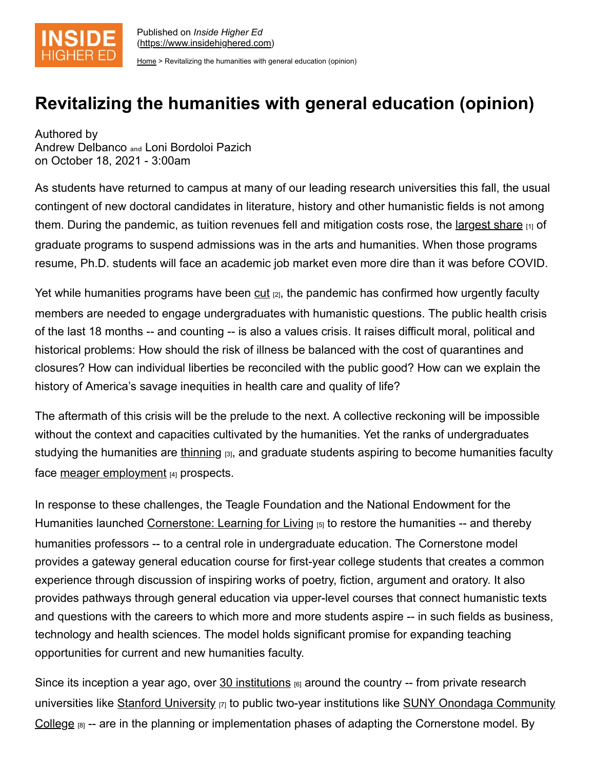

[Home](https://www.insidehighered.com/) > Revitalizing the humanities with general education (opinion)

## **Revitalizing the humanities with general education (opinion)**

Authored by Andrew Delbanco **and** Loni Bordoloi Pazich on October 18, 2021 - 3:00am

As students have returned to campus at many of our leading research universities this fall, the usual contingent of new doctoral candidates in literature, history and other humanistic fields is not among them. During the pandemic, as tuition revenues fell and mitigation costs rose, the [largest share](https://cgsnet.org/cgs-research-brief-impact-covid-19-graduate-education-access-selected-results-2020-nagapcgs-survey)  $_{11}$  of graduate programs to suspend admissions was in the arts and humanities. When those programs resume, Ph.D. students will face an academic job market even more dire than it was before COVID.

Yet while humanities programs have been  $cut_{[2]}$  $cut_{[2]}$ , the pandemic has confirmed how urgently faculty members are needed to engage undergraduates with humanistic questions. The public health crisis of the last 18 months -- and counting -- is also a values crisis. It raises difficult moral, political and historical problems: How should the risk of illness be balanced with the cost of quarantines and closures? How can individual liberties be reconciled with the public good? How can we explain the history of America's savage inequities in health care and quality of life?

The aftermath of this crisis will be the prelude to the next. A collective reckoning will be impossible without the context and capacities cultivated by the humanities. Yet the ranks of undergraduates studying the humanities are [thinning](https://www.amacad.org/humanities-indicators/higher-education/bachelors-degrees-humanities) [3], and graduate students aspiring to become humanities faculty face [meager employment](https://www.nytimes.com/2020/03/05/upshot/academic-job-crisis-phd.html) [4] prospects.

In response to these challenges, the Teagle Foundation and the National Endowment for the Humanities launched [Cornerstone: Learning for Living](https://www.insidehighered.com/views/2020/09/30/colleges-must-revive-general-education-opinion) [5] to restore the humanities -- and thereby humanities professors -- to a central role in undergraduate education. The Cornerstone model provides a gateway general education course for first-year college students that creates a common experience through discussion of inspiring works of poetry, fiction, argument and oratory. It also provides pathways through general education via upper-level courses that connect humanistic texts and questions with the careers to which more and more students aspire -- in such fields as business, technology and health sciences. The model holds significant promise for expanding teaching opportunities for current and new humanities faculty.

Since its inception a year ago, over  $30$  institutions  $_{[6]}$  around the country -- from private research universities like [Stanford University](https://www.teaglefoundation.org/How-We-Grant/Grants-Database/Grants/Cornerstone-Learning-for-Living/Implementing-a-Common-Intellectual-Experience-and) [7] to public two-year institutions like SUNY Onondaga Community College  $[8]$  [-- are in the planning or implementation phases of adapting the Cornerstone model. By](https://www.teaglefoundation.org/How-We-Grant/Grants-Database/Grants/Cornerstone-Learning-for-Living/Launching-the-Enduring-Question-Pathway-at-OCC)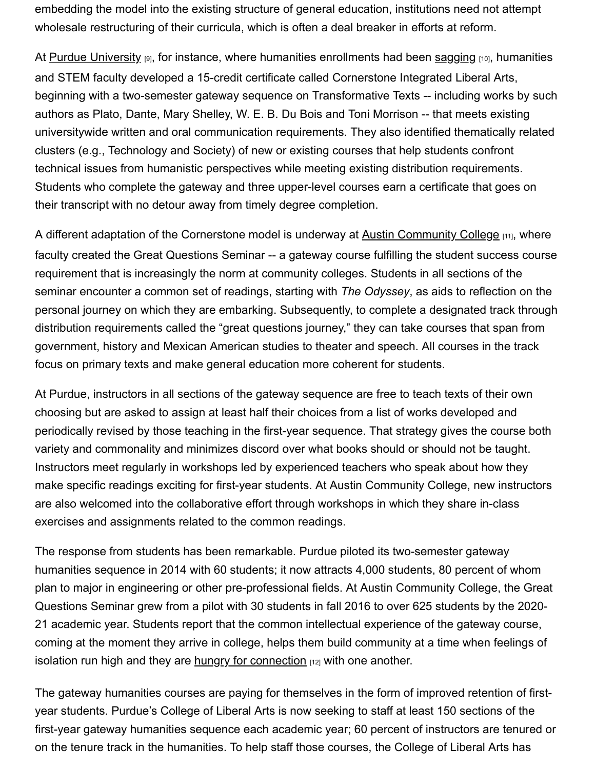embedding the model into the existing structure of general education, institutions need not attempt wholesale restructuring of their curricula, which is often a deal breaker in efforts at reform.

At [Purdue University](https://cla.purdue.edu/academic/cornerstone/index.html) [9], for instance, where humanities enrollments had been [sagging](https://www.tandfonline.com/doi/full/10.1080/00091383.2019.1674107) [10], humanities and STEM faculty developed a 15-credit certificate called Cornerstone Integrated Liberal Arts, beginning with a two-semester gateway sequence on Transformative Texts -- including works by such authors as Plato, Dante, Mary Shelley, W. E. B. Du Bois and Toni Morrison -- that meets existing universitywide written and oral communication requirements. They also identified thematically related clusters (e.g., Technology and Society) of new or existing courses that help students confront technical issues from humanistic perspectives while meeting existing distribution requirements. Students who complete the gateway and three upper-level courses earn a certificate that goes on their transcript with no detour away from timely degree completion.

A different adaptation of the Cornerstone model is underway at [Austin Community College](https://instruction.austincc.edu/thegreatquestions/) [11], where faculty created the Great Questions Seminar -- a gateway course fulfilling the student success course requirement that is increasingly the norm at community colleges. Students in all sections of the seminar encounter a common set of readings, starting with *The Odyssey*, as aids to reflection on the personal journey on which they are embarking. Subsequently, to complete a designated track through distribution requirements called the "great questions journey," they can take courses that span from government, history and Mexican American studies to theater and speech. All courses in the track focus on primary texts and make general education more coherent for students.

At Purdue, instructors in all sections of the gateway sequence are free to teach texts of their own choosing but are asked to assign at least half their choices from a list of works developed and periodically revised by those teaching in the first-year sequence. That strategy gives the course both variety and commonality and minimizes discord over what books should or should not be taught. Instructors meet regularly in workshops led by experienced teachers who speak about how they make specific readings exciting for first-year students. At Austin Community College, new instructors are also welcomed into the collaborative effort through workshops in which they share in-class exercises and assignments related to the common readings.

The response from students has been remarkable. Purdue piloted its two-semester gateway humanities sequence in 2014 with 60 students; it now attracts 4,000 students, 80 percent of whom plan to major in engineering or other pre-professional fields. At Austin Community College, the Great Questions Seminar grew from a pilot with 30 students in fall 2016 to over 625 students by the 2020- 21 academic year. Students report that the common intellectual experience of the gateway course, coming at the moment they arrive in college, helps them build community at a time when feelings of isolation run high and they are [hungry for connection](https://www.washingtonpost.com/education/2021/03/30/college-students-mental-health-pandemic/)  $[12]$  with one another.

The gateway humanities courses are paying for themselves in the form of improved retention of firstyear students. Purdue's College of Liberal Arts is now seeking to staff at least 150 sections of the first-year gateway humanities sequence each academic year; 60 percent of instructors are tenured or on the tenure track in the humanities. To help staff those courses, the College of Liberal Arts has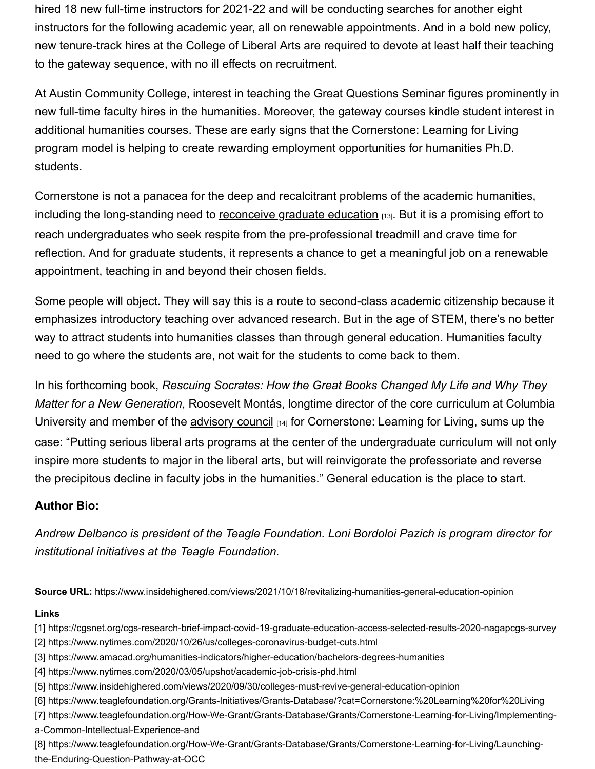hired 18 new full-time instructors for 2021-22 and will be conducting searches for another eight instructors for the following academic year, all on renewable appointments. And in a bold new policy, new tenure-track hires at the College of Liberal Arts are required to devote at least half their teaching to the gateway sequence, with no ill effects on recruitment.

At Austin Community College, interest in teaching the Great Questions Seminar figures prominently in new full-time faculty hires in the humanities. Moreover, the gateway courses kindle student interest in additional humanities courses. These are early signs that the Cornerstone: Learning for Living program model is helping to create rewarding employment opportunities for humanities Ph.D. students.

Cornerstone is not a panacea for the deep and recalcitrant problems of the academic humanities, including the long-standing need to [reconceive graduate education](https://www.insidehighered.com/blogs/higher-ed-gamma/fixing-humanities-phd-job-crisis) [13]. But it is a promising effort to reach undergraduates who seek respite from the pre-professional treadmill and crave time for reflection. And for graduate students, it represents a chance to get a meaningful job on a renewable appointment, teaching in and beyond their chosen fields.

Some people will object. They will say this is a route to second-class academic citizenship because it emphasizes introductory teaching over advanced research. But in the age of STEM, there's no better way to attract students into humanities classes than through general education. Humanities faculty need to go where the students are, not wait for the students to come back to them.

In his forthcoming book, *Rescuing Socrates: How the Great Books Changed My Life and Why They Matter for a New Generation*, Roosevelt Montás, longtime director of the core curriculum at Columbia University and member of the [advisory council](https://www.teaglefoundation.org/Call-for-Proposals/Initiatives/Cornerstone) [14] for Cornerstone: Learning for Living, sums up the case: "Putting serious liberal arts programs at the center of the undergraduate curriculum will not only inspire more students to major in the liberal arts, but will reinvigorate the professoriate and reverse the precipitous decline in faculty jobs in the humanities." General education is the place to start.

## **Author Bio:**

*Andrew Delbanco is president of the Teagle Foundation. Loni Bordoloi Pazich is program director for institutional initiatives at the Teagle Foundation.*

**Source URL:** https://www.insidehighered.com/views/2021/10/18/revitalizing-humanities-general-education-opinion

## **Links**

- [1] https://cgsnet.org/cgs-research-brief-impact-covid-19-graduate-education-access-selected-results-2020-nagapcgs-survey [2] https://www.nytimes.com/2020/10/26/us/colleges-coronavirus-budget-cuts.html
- [3] https://www.amacad.org/humanities-indicators/higher-education/bachelors-degrees-humanities
- [4] https://www.nytimes.com/2020/03/05/upshot/academic-job-crisis-phd.html
- [5] https://www.insidehighered.com/views/2020/09/30/colleges-must-revive-general-education-opinion
- [6] https://www.teaglefoundation.org/Grants-Initiatives/Grants-Database/?cat=Cornerstone:%20Learning%20for%20Living
- [7] https://www.teaglefoundation.org/How-We-Grant/Grants-Database/Grants/Cornerstone-Learning-for-Living/Implementinga-Common-Intellectual-Experience-and
- [8] https://www.teaglefoundation.org/How-We-Grant/Grants-Database/Grants/Cornerstone-Learning-for-Living/Launchingthe-Enduring-Question-Pathway-at-OCC